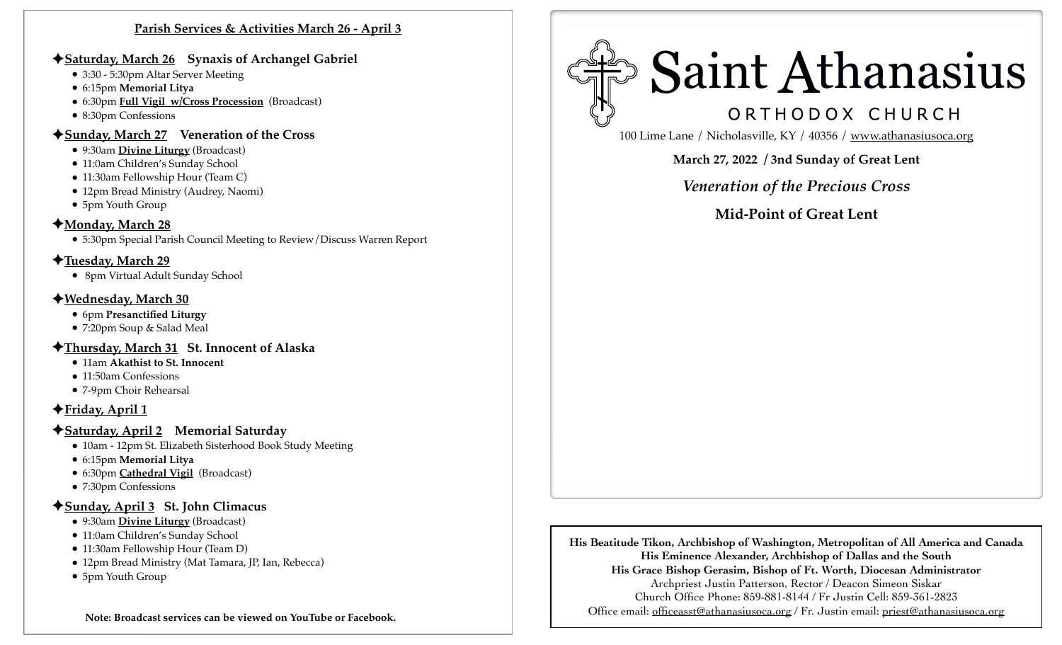#### **Parish Services & Activities March 26 - April 3**

#### ✦**Saturday, March 26 Synaxis of Archangel Gabriel**

- 3:30 5:30pm Altar Server Meeting
- 6:15pm **Memorial Litya**
- 6:30pm **Full Vigil w/Cross Procession** (Broadcast)
- 8:30pm Confessions

#### ✦**Sunday, March 27 Veneration of the Cross**

- 9:30am **Divine Liturgy** (Broadcast)
- 11:0am Children's Sunday School
- 11:30am Fellowship Hour (Team C)
- 12pm Bread Ministry (Audrey, Naomi)
- 5pm Youth Group

## ✦**Monday, March 28**

• 5:30pm Special Parish Council Meeting to Review/Discuss Warren Report

#### ✦**Tuesday, March 29**

• 8pm Virtual Adult Sunday School

### ✦**Wednesday, March 30**

- 6pm **Presanctified Liturgy**
- 7:20pm Soup & Salad Meal
- ✦**Thursday, March 31 St. Innocent of Alaska**
	- 11am **Akathist to St. Innocent**
	- 11:50am Confessions
	- 7-9pm Choir Rehearsal

## ✦**Friday, April 1**

#### ✦**Saturday, April 2 Memorial Saturday**

- 10am 12pm St. Elizabeth Sisterhood Book Study Meeting
- 6:15pm **Memorial Litya**
- 6:30pm **Cathedral Vigil** (Broadcast)
- 7:30pm Confessions

#### ✦**Sunday, April 3 St. John Climacus**

- 9:30am **Divine Liturgy** (Broadcast)
- 11:0am Children's Sunday School
- 11:30am Fellowship Hour (Team D)
- 12pm Bread Ministry (Mat Tamara, JP, Ian, Rebecca)
- 5pm Youth Group

#### **Note: Broadcast services can be viewed on YouTube or Facebook.**



# ORTHODOX CHURCH

100 Lime Lane / Nicholasville, KY / 40356 / [www.athanasiusoca.org](http://www.athanasiusoca.org)

**March 27***,* **2022 / 3nd Sunday of Great Lent** 

*Veneration of the Precious Cross* 

**Mid-Point of Great Lent** 

**His Beatitude Tikon, Archbishop of Washington, Metropolitan of All America and Canada His Eminence Alexander, Archbishop of Dallas and the South His Grace Bishop Gerasim, Bishop of Ft. Worth, Diocesan Administrator**  Archpriest Justin Patterson, Rector / Deacon Simeon Siskar Church Office Phone: 859-881-8144 / Fr Justin Cell: 859-361-2823 Office email: [officeasst@athanasiusoca.org](mailto:officeasst@athanasiusoca.org) / Fr. Justin email: [priest@athanasiusoca.org](mailto:priest@athanasiusoca.org)